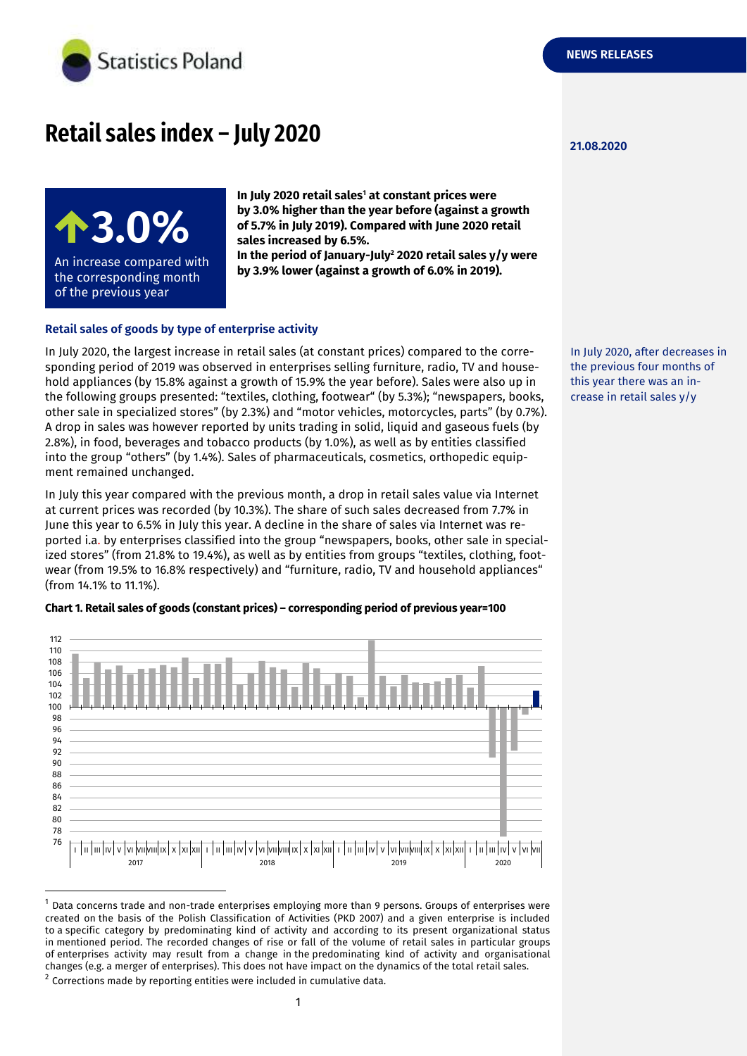

# **Retail sales index – July 2020**

**3.0%**

An increase compared with the corresponding month of the previous year

**In July 2020 retail sales<sup>1</sup> at constant prices were by 3.0% higher than the year before (against a growth of 5.7% in July 2019). Compared with June 2020 retail sales increased by 6.5%. In the period of January-July<sup>2</sup> 2020 retail sales y/y were** 

**by 3.9% lower (against a growth of 6.0% in 2019).**

### **Retail sales of goods by type of enterprise activity**

In July 2020, the largest increase in retail sales (at constant prices) compared to the corresponding period of 2019 was observed in enterprises selling furniture, radio, TV and household appliances (by 15.8% against a growth of 15.9% the year before). Sales were also up in the following groups presented: "textiles, clothing, footwear" (by 5.3%); "newspapers, books, other sale in specialized stores" (by 2.3%) and "motor vehicles, motorcycles, parts" (by 0.7%). A drop in sales was however reported by units trading in solid, liquid and gaseous fuels (by 2.8%), in food, beverages and tobacco products (by 1.0%), as well as by entities classified into the group "others" (by 1.4%). Sales of pharmaceuticals, cosmetics, orthopedic equipment remained unchanged.

In July this year compared with the previous month, a drop in retail sales value via Internet at current prices was recorded (by 10.3%). The share of such sales decreased from 7.7% in June this year to 6.5% in July this year. A decline in the share of sales via Internet was reported i.a. by enterprises classified into the group "newspapers, books, other sale in specialized stores" (from 21.8% to 19.4%), as well as by entities from groups "textiles, clothing, footwear (from 19.5% to 16.8% respectively) and "furniture, radio, TV and household appliances" (from 14.1% to 11.1%).

#### **Chart 1. Retail sales of goods (constant prices) – corresponding period of previous year=100**



<sup>1</sup> Data concerns trade and non-trade enterprises employing more than 9 persons. Groups of enterprises were created on the basis of the Polish Classification of Activities (PKD 2007) and a given enterprise is included to a specific category by predominating kind of activity and according to its present organizational status in mentioned period. The recorded changes of rise or fall of the volume of retail sales in particular groups of enterprises activity may result from a change in the predominating kind of activity and organisational changes (e.g. a merger of enterprises). This does not have impact on the dynamics of the total retail sales.

 $^2$  Corrections made by reporting entities were included in cumulative data.

-

**21.08.2020**

In July 2020, after decreases in the previous four months of this year there was an increase in retail sales y/y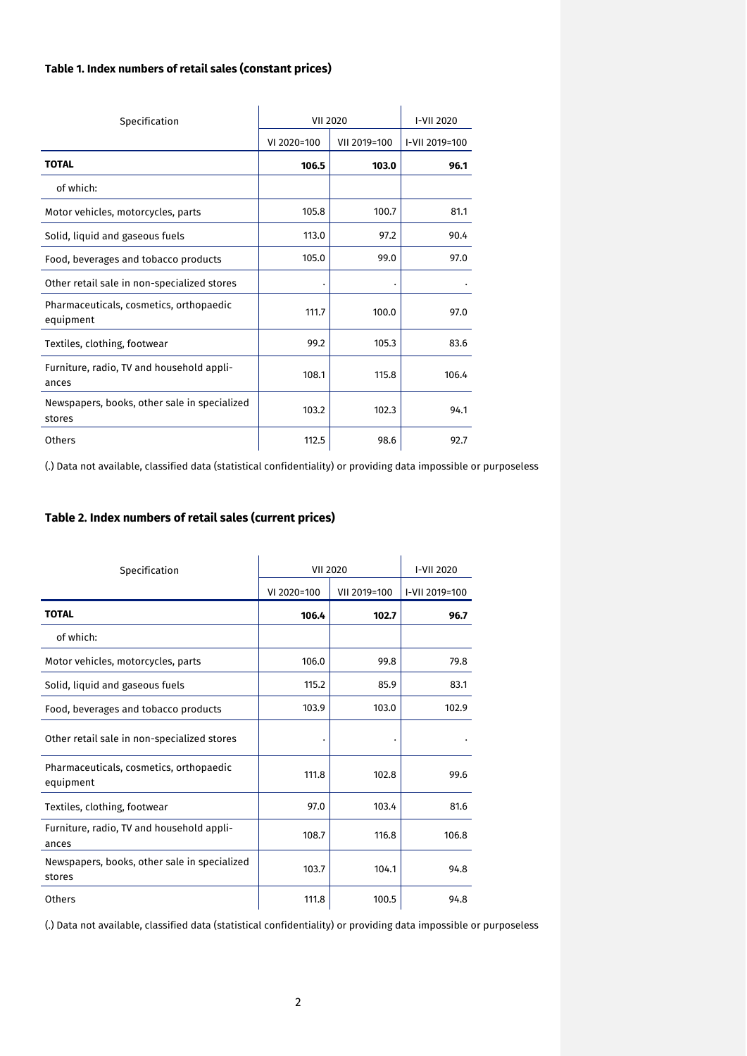## **Table 1. Index numbers of retail sales (constant prices)**

| Specification                                          | <b>VII 2020</b> |              | I-VII 2020     |
|--------------------------------------------------------|-----------------|--------------|----------------|
|                                                        | VI 2020=100     | VII 2019=100 | I-VII 2019=100 |
| <b>TOTAL</b>                                           | 106.5           | 103.0        | 96.1           |
| of which:                                              |                 |              |                |
| Motor vehicles, motorcycles, parts                     | 105.8           | 100.7        | 81.1           |
| Solid, liquid and gaseous fuels                        | 113.0           | 97.2         | 90.4           |
| Food, beverages and tobacco products                   | 105.0           | 99.0         | 97.0           |
| Other retail sale in non-specialized stores            |                 |              |                |
| Pharmaceuticals, cosmetics, orthopaedic<br>equipment   | 111.7           | 100.0        | 97.0           |
| Textiles, clothing, footwear                           | 99.2            | 105.3        | 83.6           |
| Furniture, radio, TV and household appli-<br>ances     | 108.1           | 115.8        | 106.4          |
| Newspapers, books, other sale in specialized<br>stores | 103.2           | 102.3        | 94.1           |
| Others                                                 | 112.5           | 98.6         | 92.7           |

(.) Data not available, classified data (statistical confidentiality) or providing data impossible or purposeless

## **Table 2. Index numbers of retail sales (current prices)**

| Specification                                          | <b>VII 2020</b> |              | I-VII 2020     |
|--------------------------------------------------------|-----------------|--------------|----------------|
|                                                        | VI 2020=100     | VII 2019=100 | I-VII 2019=100 |
| <b>TOTAL</b>                                           | 106.4           | 102.7        | 96.7           |
| of which:                                              |                 |              |                |
| Motor vehicles, motorcycles, parts                     | 106.0           | 99.8         | 79.8           |
| Solid, liquid and gaseous fuels                        | 115.2           | 85.9         | 83.1           |
| Food, beverages and tobacco products                   | 103.9           | 103.0        | 102.9          |
| Other retail sale in non-specialized stores            |                 |              |                |
| Pharmaceuticals, cosmetics, orthopaedic<br>equipment   | 111.8           | 102.8        | 99.6           |
| Textiles, clothing, footwear                           | 97.0            | 103.4        | 81.6           |
| Furniture, radio, TV and household appli-<br>ances     | 108.7           | 116.8        | 106.8          |
| Newspapers, books, other sale in specialized<br>stores | 103.7           | 104.1        | 94.8           |
| Others                                                 | 111.8           | 100.5        | 94.8           |

(.) Data not available, classified data (statistical confidentiality) or providing data impossible or purposeless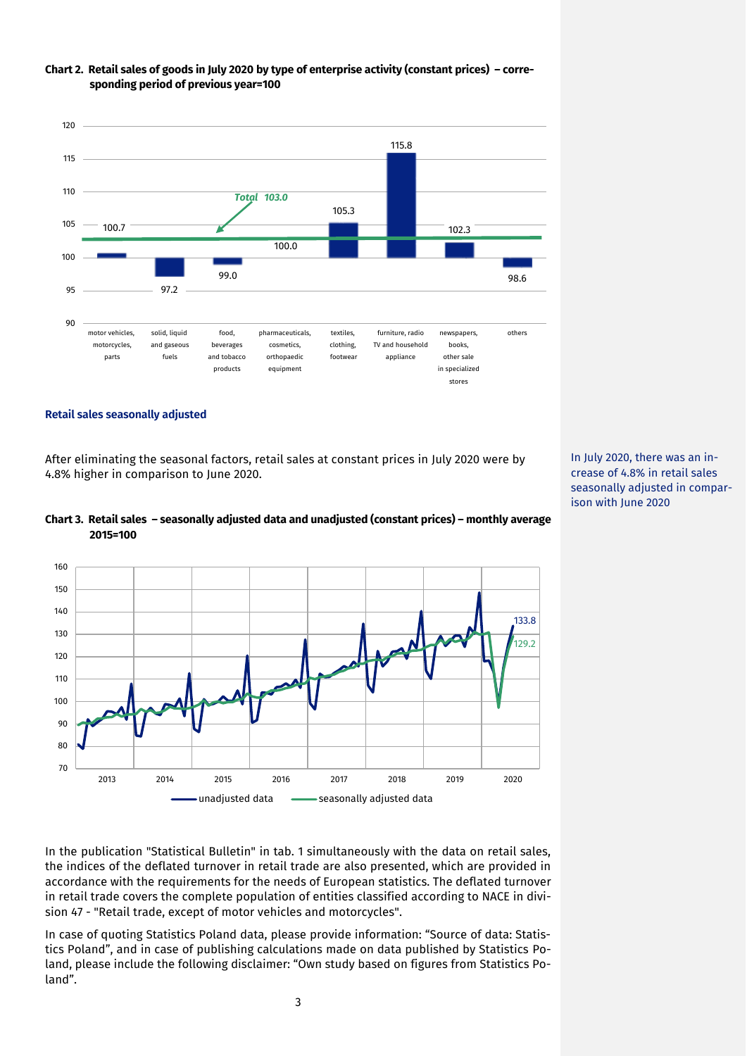

#### **Chart 2. Retail sales of goods in July 2020 by type of enterprise activity (constant prices) – corresponding period of previous year=100**

#### **Retail sales seasonally adjusted**

After eliminating the seasonal factors, retail sales at constant prices in July 2020 were by 4.8% higher in comparison to June 2020.





In the publication "Statistical Bulletin" in tab. 1 simultaneously with the data on retail sales, the indices of the deflated turnover in retail trade are also presented, which are provided in accordance with the requirements for the needs of European statistics. The deflated turnover in retail trade covers the complete population of entities classified according to NACE in division 47 - "Retail trade, except of motor vehicles and motorcycles".

In case of quoting Statistics Poland data, please provide information: "Source of data: Statistics Poland", and in case of publishing calculations made on data published by Statistics Poland, please include the following disclaimer: "Own study based on figures from Statistics Poland".

In July 2020, there was an increase of 4.8% in retail sales seasonally adjusted in comparison with June 2020